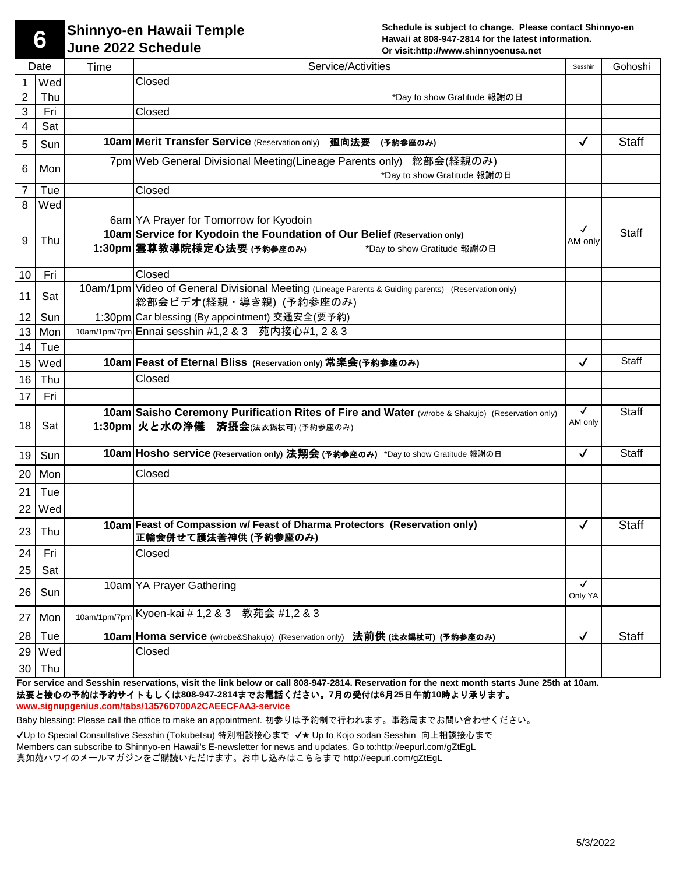**6**

## **Shinnyo-en Hawaii Temple June 2022 Schedule**

**Schedule is subject to change. Please contact Shinnyo-en Hawaii at 808-947-2814 for the latest information. Or visit:http://www.shinnyoenusa.net** 

|    | Date     | Time | Service/Activities                                                                                                                                                              | Sesshin                 | Gohoshi      |
|----|----------|------|---------------------------------------------------------------------------------------------------------------------------------------------------------------------------------|-------------------------|--------------|
| 1  | Wed      |      | Closed                                                                                                                                                                          |                         |              |
| 2  | Thu      |      | *Day to show Gratitude 報謝の日                                                                                                                                                     |                         |              |
| 3  | Fri      |      | Closed                                                                                                                                                                          |                         |              |
| 4  | Sat      |      |                                                                                                                                                                                 |                         |              |
| 5  | Sun      |      | 10am Merit Transfer Service (Reservation only) 廻向法要<br>(予約参座のみ)                                                                                                                 | $\checkmark$            | <b>Staff</b> |
| 6  | Mon      |      | 7pm Web General Divisional Meeting (Lineage Parents only) 総部会(経親のみ)<br>*Day to show Gratitude 報謝の日                                                                              |                         |              |
| 7  | Tue      |      | Closed                                                                                                                                                                          |                         |              |
| 8  | Wed      |      |                                                                                                                                                                                 |                         |              |
| 9  | Thu      |      | 6am YA Prayer for Tomorrow for Kyodoin<br>10am Service for Kyodoin the Foundation of Our Belief (Reservation only)<br>1:30pm 霊尊教導院様定心法要 (予約参座のみ)<br>*Day to show Gratitude 報謝の日 | √<br>AM only            | <b>Staff</b> |
| 10 | Fri      |      | Closed                                                                                                                                                                          |                         |              |
| 11 | Sat      |      | 10am/1pm Video of General Divisional Meeting (Lineage Parents & Guiding parents) (Reservation only)<br>総部会ビデオ(経親・導き親) (予約参座のみ)                                                  |                         |              |
| 12 | Sun      |      | 1:30pm Car blessing (By appointment) 交通安全(要予約)                                                                                                                                  |                         |              |
| 13 | Mon      |      | 10am/1pm/7pm Ennai sesshin #1,2 & 3 苑内接心#1, 2 & 3                                                                                                                               |                         |              |
| 14 | Tue      |      |                                                                                                                                                                                 |                         |              |
| 15 | Wed      |      | 10am Feast of Eternal Bliss (Reservation only) 常楽会(予約参座のみ)                                                                                                                      | $\checkmark$            | <b>Staff</b> |
| 16 | Thu      |      | Closed                                                                                                                                                                          |                         |              |
| 17 | Fri      |      |                                                                                                                                                                                 |                         |              |
| 18 | Sat      |      | 10am Saisho Ceremony Purification Rites of Fire and Water (w/robe & Shakujo) (Reservation only)<br>1:30pm 火と水の浄儀 済摂会(法衣錫杖可) (予約参座のみ)                                            | $\checkmark$<br>AM only | <b>Staff</b> |
| 19 | Sun      |      | 10am Hosho service (Reservation only) 法翔会 (予約参座のみ) *Day to show Gratitude 報謝の日                                                                                                  | $\checkmark$            | <b>Staff</b> |
| 20 | Mon      |      | Closed                                                                                                                                                                          |                         |              |
| 21 | Tue      |      |                                                                                                                                                                                 |                         |              |
|    | $22$ Wed |      |                                                                                                                                                                                 |                         |              |
| 23 | Thu      |      | 10am Feast of Compassion w/ Feast of Dharma Protectors (Reservation only)<br>正輪会併せて護法善神供 (予約参座のみ)                                                                               | $\checkmark$            | <b>Staff</b> |
| 24 | Fri      |      | Closed                                                                                                                                                                          |                         |              |
| 25 | Sat      |      |                                                                                                                                                                                 |                         |              |
| 26 | Sun      |      | 10am YA Prayer Gathering                                                                                                                                                        | $\checkmark$<br>Only YA |              |
| 27 | Mon      |      | 10am/1pm/7pm Kyoen-kai # 1,2 & 3 教苑会 #1,2 & 3                                                                                                                                   |                         |              |
| 28 | Tue      |      | 10am Homa service (w/robe&Shakujo) (Reservation only) 法前供 (法衣錫杖可) (予約参座のみ)                                                                                                      | $\checkmark$            | <b>Staff</b> |
| 29 | Wed      |      | Closed                                                                                                                                                                          |                         |              |
| 30 | Thu      |      |                                                                                                                                                                                 |                         |              |

**For service and Sesshin reservations, visit the link below or call 808-947-2814. Reservation for the next month starts June 25th at 10am.**  法要と接心の予約は予約サイトもしくは**808-947-2814**までお電話ください。**7**月の受付は**6**月**25**日午前**10**時より承ります。

**www.signupgenius.com/tabs/13576D700A2CAEECFAA3-service** 

Baby blessing: Please call the office to make an appointment. 初参りは予約制で行われます。事務局までお問い合わせください。

✔Up to Special Consultative Sesshin (Tokubetsu) 特別相談接心まで ✔★ Up to Kojo sodan Sesshin 向上相談接心まで Members can subscribe to Shinnyo-en Hawaii's E-newsletter for news and updates. Go to:http://eepurl.com/gZtEgL 真如苑ハワイのメールマガジンをご購読いただけます。お申し込みはこちらまで http://eepurl.com/gZtEgL